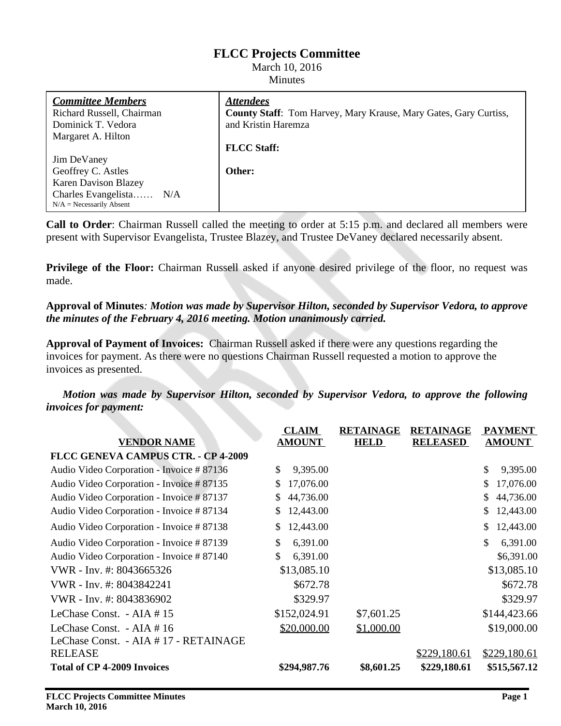# **FLCC Projects Committee**

#### March 10, 2016 Minutes

| <b>Committee Members</b>    | <b>Attendees</b>                                                        |
|-----------------------------|-------------------------------------------------------------------------|
| Richard Russell, Chairman   | <b>County Staff:</b> Tom Harvey, Mary Krause, Mary Gates, Gary Curtiss, |
| Dominick T. Vedora          | and Kristin Haremza                                                     |
| Margaret A. Hilton          |                                                                         |
|                             | <b>FLCC Staff:</b>                                                      |
| Jim DeVaney                 |                                                                         |
| Geoffrey C. Astles          | Other:                                                                  |
| <b>Karen Davison Blazey</b> |                                                                         |
| Charles Evangelista<br>N/A  |                                                                         |
| $N/A$ = Necessarily Absent  |                                                                         |

**Call to Order**: Chairman Russell called the meeting to order at 5:15 p.m. and declared all members were present with Supervisor Evangelista, Trustee Blazey, and Trustee DeVaney declared necessarily absent.

**Privilege of the Floor:** Chairman Russell asked if anyone desired privilege of the floor, no request was made.

### **Approval of Minutes***: Motion was made by Supervisor Hilton, seconded by Supervisor Vedora, to approve the minutes of the February 4, 2016 meeting. Motion unanimously carried.*

**Approval of Payment of Invoices:** Chairman Russell asked if there were any questions regarding the invoices for payment. As there were no questions Chairman Russell requested a motion to approve the invoices as presented.

*Motion was made by Supervisor Hilton, seconded by Supervisor Vedora, to approve the following invoices for payment:*

|                                           | <b>CLAIM</b>    | <b>RETAINAGE</b> | <b>RETAINAGE</b> | <b>PAYMENT</b>  |
|-------------------------------------------|-----------------|------------------|------------------|-----------------|
| <b>VENDOR NAME</b>                        | <b>AMOUNT</b>   | <b>HELD</b>      | <b>RELEASED</b>  | <b>AMOUNT</b>   |
| FLCC GENEVA CAMPUS CTR. - CP 4-2009       |                 |                  |                  |                 |
| Audio Video Corporation - Invoice # 87136 | \$.<br>9,395.00 |                  |                  | \$<br>9,395.00  |
| Audio Video Corporation - Invoice # 87135 | 17,076.00<br>S. |                  |                  | 17,076.00<br>S  |
| Audio Video Corporation - Invoice # 87137 | 44,736.00<br>S. |                  |                  | 44,736.00<br>\$ |
| Audio Video Corporation - Invoice # 87134 | 12,443.00<br>S. |                  |                  | 12,443.00<br>\$ |
| Audio Video Corporation - Invoice # 87138 | 12,443.00       |                  |                  | 12,443.00<br>\$ |
| Audio Video Corporation - Invoice # 87139 | \$<br>6,391.00  |                  |                  | \$<br>6,391.00  |
| Audio Video Corporation - Invoice # 87140 | \$<br>6,391.00  |                  |                  | \$6,391.00      |
| VWR - Inv. #: 8043665326                  | \$13,085.10     |                  |                  | \$13,085.10     |
| VWR - Inv. #: 8043842241                  | \$672.78        |                  |                  | \$672.78        |
| VWR - Inv. #: 8043836902                  | \$329.97        |                  |                  | \$329.97        |
| LeChase Const. - AIA #15                  | \$152,024.91    | \$7,601.25       |                  | \$144,423.66    |
| LeChase Const. - AIA #16                  | \$20,000.00     | \$1,000.00       |                  | \$19,000.00     |
| LeChase Const. - AIA # 17 - RETAINAGE     |                 |                  |                  |                 |
| <b>RELEASE</b>                            |                 |                  | \$229,180.61     | \$229,180.61    |
| <b>Total of CP 4-2009 Invoices</b>        | \$294,987.76    | \$8,601.25       | \$229,180.61     | \$515,567.12    |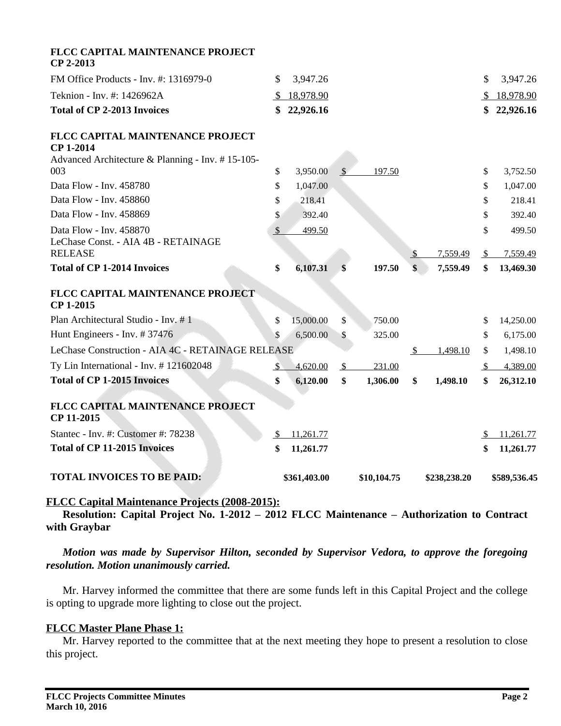| FLCC CAPITAL MAINTENANCE PROJECT<br>CP 2-2013                                                            |                |              |               |             |               |              |               |              |
|----------------------------------------------------------------------------------------------------------|----------------|--------------|---------------|-------------|---------------|--------------|---------------|--------------|
| FM Office Products - Inv. #: 1316979-0                                                                   | \$.            | 3,947.26     |               |             |               |              | \$            | 3,947.26     |
| Teknion - Inv. #: 1426962A                                                                               | $\mathbb{S}$   | 18,978.90    |               |             |               |              | <sup>S</sup>  | 18,978.90    |
| <b>Total of CP 2-2013 Invoices</b>                                                                       | \$             | 22,926.16    |               |             |               |              | \$            | 22,926.16    |
| FLCC CAPITAL MAINTENANCE PROJECT<br><b>CP 1-2014</b><br>Advanced Architecture & Planning - Inv. #15-105- |                |              |               |             |               |              |               |              |
| 003                                                                                                      | \$             | 3,950.00     | <sup>S</sup>  | 197.50      |               |              | \$            | 3,752.50     |
| Data Flow - Inv. 458780                                                                                  | \$             | 1,047.00     |               |             |               |              | \$            | 1,047.00     |
| Data Flow - Inv. 458860                                                                                  | \$             | 218.41       |               |             |               |              | \$            | 218.41       |
| Data Flow - Inv. 458869                                                                                  | \$             | 392.40       |               |             |               |              | \$            | 392.40       |
| Data Flow - Inv. 458870                                                                                  | $\mathcal{S}$  | 499.50       |               |             |               |              | \$            | 499.50       |
| LeChase Const. - AIA 4B - RETAINAGE<br><b>RELEASE</b>                                                    |                |              |               |             | <sup>\$</sup> | 7,559.49     | $\mathcal{S}$ | 7,559.49     |
| <b>Total of CP 1-2014 Invoices</b>                                                                       | \$             | 6,107.31     | \$            | 197.50      | \$            | 7,559.49     | \$            | 13,469.30    |
| FLCC CAPITAL MAINTENANCE PROJECT<br>CP 1-2015                                                            |                |              |               |             |               |              |               |              |
| Plan Architectural Studio - Inv. #1                                                                      | \$             | 15,000.00    | \$            | 750.00      |               |              | \$            | 14,250.00    |
| Hunt Engineers - Inv. #37476                                                                             | \$             | 6,500.00     | \$            | 325.00      |               |              | \$            | 6,175.00     |
| LeChase Construction - AIA 4C - RETAINAGE RELEASE                                                        |                |              |               |             | $\mathcal{S}$ | 1,498.10     | \$            | 1,498.10     |
| Ty Lin International - Inv. #121602048                                                                   | $\mathfrak{D}$ | 4,620.00     | $\mathcal{S}$ | 231.00      |               |              | <sup>S</sup>  | 4,389.00     |
| <b>Total of CP 1-2015 Invoices</b>                                                                       | \$             | 6,120.00     | \$            | 1,306.00    | \$            | 1,498.10     | \$            | 26,312.10    |
| FLCC CAPITAL MAINTENANCE PROJECT<br>CP 11-2015                                                           |                |              |               |             |               |              |               |              |
| Stantec - Inv. #: Customer #: 78238                                                                      | $\mathcal{S}$  | 11,261.77    |               |             |               |              | -S            | 11,261.77    |
| <b>Total of CP 11-2015 Invoices</b>                                                                      | \$             | 11,261.77    |               |             |               |              | \$            | 11,261.77    |
| <b>TOTAL INVOICES TO BE PAID:</b>                                                                        |                | \$361,403.00 |               | \$10,104.75 |               | \$238,238.20 |               | \$589,536.45 |

# **FLCC Capital Maintenance Projects (2008-2015):**

**Resolution: Capital Project No. 1-2012 – 2012 FLCC Maintenance – Authorization to Contract with Graybar** 

*Motion was made by Supervisor Hilton, seconded by Supervisor Vedora, to approve the foregoing resolution. Motion unanimously carried.*

Mr. Harvey informed the committee that there are some funds left in this Capital Project and the college is opting to upgrade more lighting to close out the project.

### **FLCC Master Plane Phase 1:**

Mr. Harvey reported to the committee that at the next meeting they hope to present a resolution to close this project.